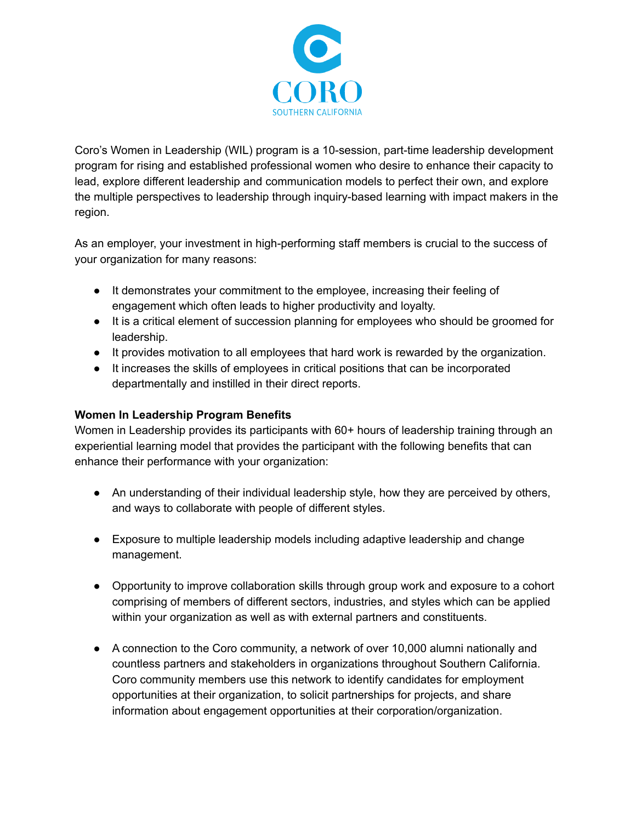

Coro's Women in Leadership (WIL) program is a 10-session, part-time leadership development program for rising and established professional women who desire to enhance their capacity to lead, explore different leadership and communication models to perfect their own, and explore the multiple perspectives to leadership through inquiry-based learning with impact makers in the region.

As an employer, your investment in high-performing staff members is crucial to the success of your organization for many reasons:

- It demonstrates your commitment to the employee, increasing their feeling of engagement which often leads to higher productivity and loyalty.
- It is a critical element of succession planning for employees who should be groomed for leadership.
- It provides motivation to all employees that hard work is rewarded by the organization.
- It increases the skills of employees in critical positions that can be incorporated departmentally and instilled in their direct reports.

## **Women In Leadership Program Benefits**

Women in Leadership provides its participants with 60+ hours of leadership training through an experiential learning model that provides the participant with the following benefits that can enhance their performance with your organization:

- An understanding of their individual leadership style, how they are perceived by others, and ways to collaborate with people of different styles.
- Exposure to multiple leadership models including adaptive leadership and change management.
- Opportunity to improve collaboration skills through group work and exposure to a cohort comprising of members of different sectors, industries, and styles which can be applied within your organization as well as with external partners and constituents.
- A connection to the Coro community, a network of over 10,000 alumni nationally and countless partners and stakeholders in organizations throughout Southern California. Coro community members use this network to identify candidates for employment opportunities at their organization, to solicit partnerships for projects, and share information about engagement opportunities at their corporation/organization.